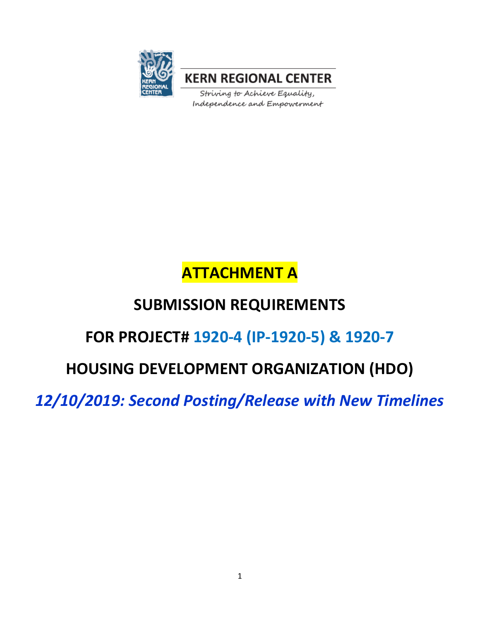

**KERN REGIONAL CENTER** 

Striving to Achieve Equality, Independence and Empowerment

# **ATTACHMENT A**

# **SUBMISSION REQUIREMENTS**

# **FOR PROJECT# 1920-4 (IP-1920-5) & 1920-7**

# **HOUSING DEVELOPMENT ORGANIZATION (HDO)**

*12/10/2019: Second Posting/Release with New Timelines*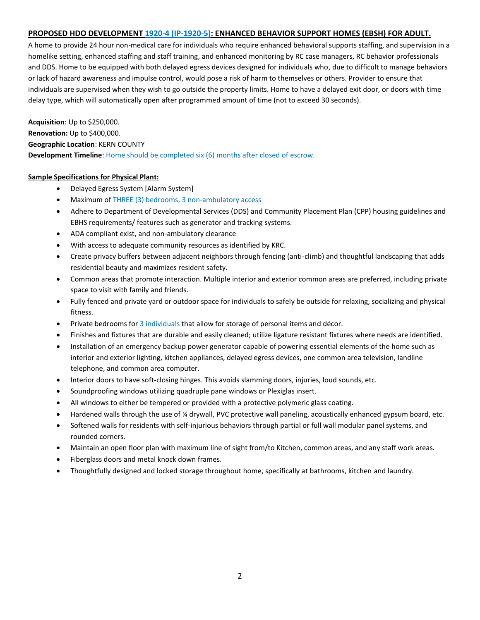# **PROPOSED HDO DEVELOPMENT 1920-4 (IP-1920-5): ENHANCED BEHAVIOR SUPPORT HOMES (EBSH) FOR ADULT.**

A home to provide 24 hour non-medical care for individuals who require enhanced behavioral supports staffing, and supervision in a homelike setting, enhanced staffing and staff training, and enhanced monitoring by RC case managers, RC behavior professionals and DDS. Home to be equipped with both delayed egress devices designed for individuals who, due to difficult to manage behaviors or lack of hazard awareness and impulse control, would pose a risk of harm to themselves or others. Provider to ensure that individuals are supervised when they wish to go outside the property limits. Home to have a delayed exit door, or doors with time delay type, which will automatically open after programmed amount of time (not to exceed 30 seconds).

**Acquisition**: Up to \$250,000. **Renovation:** Up to \$400,000. **Geographic Location**: KERN COUNTY **Development Timeline**: Home should be completed six (6) months after closed of escrow.

#### **Sample Specifications for Physical Plant:**

- Delayed Egress System [Alarm System]
- Maximum of THREE (3) bedrooms, 3 non-ambulatory access
- Adhere to Department of Developmental Services (DDS) and Community Placement Plan (CPP) housing guidelines and EBHS requirements/ features such as generator and tracking systems.
- ADA compliant exist, and non-ambulatory clearance
- With access to adequate community resources as identified by KRC.
- Create privacy buffers between adjacent neighbors through fencing (anti-climb) and thoughtful landscaping that adds residential beauty and maximizes resident safety.
- Common areas that promote interaction. Multiple interior and exterior common areas are preferred, including private space to visit with family and friends.
- Fully fenced and private yard or outdoor space for individuals to safely be outside for relaxing, socializing and physical fitness.
- Private bedrooms for 3 individuals that allow for storage of personal items and décor.
- Finishes and fixtures that are durable and easily cleaned; utilize ligature resistant fixtures where needs are identified.
- Installation of an emergency backup power generator capable of powering essential elements of the home such as interior and exterior lighting, kitchen appliances, delayed egress devices, one common area television, landline telephone, and common area computer.
- Interior doors to have soft-closing hinges. This avoids slamming doors, injuries, loud sounds, etc.
- Soundproofing windows utilizing quadruple pane windows or Plexiglas insert.
- All windows to either be tempered or provided with a protective polymeric glass coating.
- Hardened walls through the use of ¾ drywall, PVC protective wall paneling, acoustically enhanced gypsum board, etc.
- Softened walls for residents with self-injurious behaviors through partial or full wall modular panel systems, and rounded corners.
- Maintain an open floor plan with maximum line of sight from/to Kitchen, common areas, and any staff work areas.
- Fiberglass doors and metal knock down frames.
- Thoughtfully designed and locked storage throughout home, specifically at bathrooms, kitchen and laundry.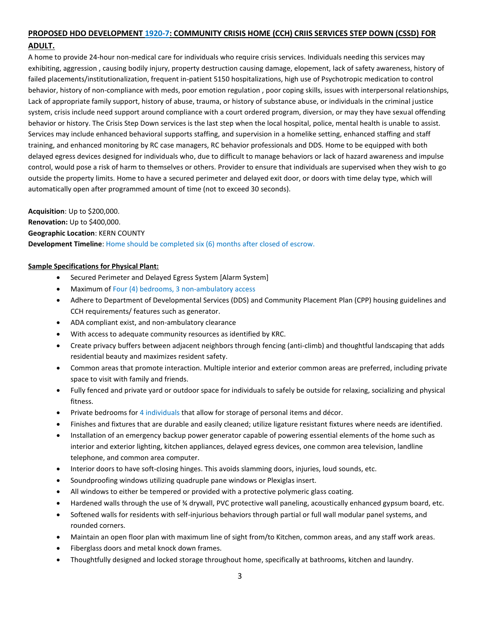## **PROPOSED HDO DEVELOPMENT 1920-7: COMMUNITY CRISIS HOME (CCH) CRIIS SERVICES STEP DOWN (CSSD) FOR**

# **ADULT.**

A home to provide 24-hour non-medical care for individuals who require crisis services. Individuals needing this services may exhibiting, aggression , causing bodily injury, property destruction causing damage, elopement, lack of safety awareness, history of failed placements/institutionalization, frequent in-patient 5150 hospitalizations, high use of Psychotropic medication to control behavior, history of non-compliance with meds, poor emotion regulation , poor coping skills, issues with interpersonal relationships, Lack of appropriate family support, history of abuse, trauma, or history of substance abuse, or individuals in the criminal justice system, crisis include need support around compliance with a court ordered program, diversion, or may they have sexual offending behavior or history. The Crisis Step Down services is the last step when the local hospital, police, mental health is unable to assist. Services may include enhanced behavioral supports staffing, and supervision in a homelike setting, enhanced staffing and staff training, and enhanced monitoring by RC case managers, RC behavior professionals and DDS. Home to be equipped with both delayed egress devices designed for individuals who, due to difficult to manage behaviors or lack of hazard awareness and impulse control, would pose a risk of harm to themselves or others. Provider to ensure that individuals are supervised when they wish to go outside the property limits. Home to have a secured perimeter and delayed exit door, or doors with time delay type, which will automatically open after programmed amount of time (not to exceed 30 seconds).

**Acquisition**: Up to \$200,000. **Renovation:** Up to \$400,000. **Geographic Location**: KERN COUNTY **Development Timeline:** Home should be completed six (6) months after closed of escrow.

#### **Sample Specifications for Physical Plant:**

- Secured Perimeter and Delayed Egress System [Alarm System]
- Maximum of Four (4) bedrooms, 3 non-ambulatory access
- Adhere to Department of Developmental Services (DDS) and Community Placement Plan (CPP) housing guidelines and CCH requirements/ features such as generator.
- ADA compliant exist, and non-ambulatory clearance
- With access to adequate community resources as identified by KRC.
- Create privacy buffers between adjacent neighbors through fencing (anti-climb) and thoughtful landscaping that adds residential beauty and maximizes resident safety.
- Common areas that promote interaction. Multiple interior and exterior common areas are preferred, including private space to visit with family and friends.
- Fully fenced and private yard or outdoor space for individuals to safely be outside for relaxing, socializing and physical fitness.
- Private bedrooms for 4 individuals that allow for storage of personal items and décor.
- Finishes and fixtures that are durable and easily cleaned; utilize ligature resistant fixtures where needs are identified.
- Installation of an emergency backup power generator capable of powering essential elements of the home such as interior and exterior lighting, kitchen appliances, delayed egress devices, one common area television, landline telephone, and common area computer.
- Interior doors to have soft-closing hinges. This avoids slamming doors, injuries, loud sounds, etc.
- Soundproofing windows utilizing quadruple pane windows or Plexiglas insert.
- All windows to either be tempered or provided with a protective polymeric glass coating.
- Hardened walls through the use of ¾ drywall, PVC protective wall paneling, acoustically enhanced gypsum board, etc.
- Softened walls for residents with self-injurious behaviors through partial or full wall modular panel systems, and rounded corners.
- Maintain an open floor plan with maximum line of sight from/to Kitchen, common areas, and any staff work areas.
- Fiberglass doors and metal knock down frames.
- Thoughtfully designed and locked storage throughout home, specifically at bathrooms, kitchen and laundry.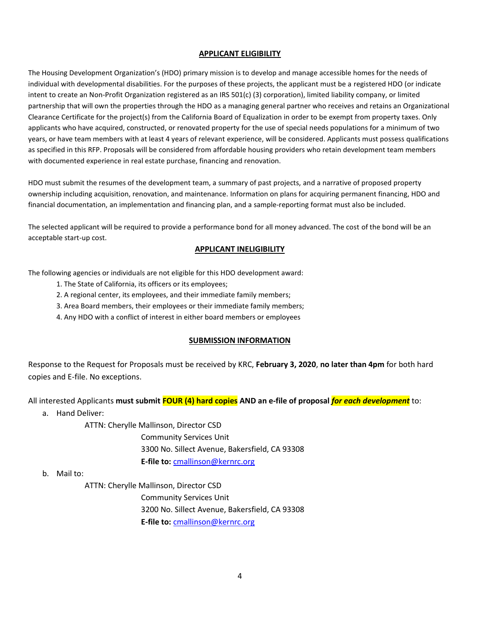# **APPLICANT ELIGIBILITY**

The Housing Development Organization's (HDO) primary mission is to develop and manage accessible homes for the needs of individual with developmental disabilities. For the purposes of these projects, the applicant must be a registered HDO (or indicate intent to create an Non-Profit Organization registered as an IRS 501(c) (3) corporation), limited liability company, or limited partnership that will own the properties through the HDO as a managing general partner who receives and retains an Organizational Clearance Certificate for the project(s) from the California Board of Equalization in order to be exempt from property taxes. Only applicants who have acquired, constructed, or renovated property for the use of special needs populations for a minimum of two years, or have team members with at least 4 years of relevant experience, will be considered. Applicants must possess qualifications as specified in this RFP. Proposals will be considered from affordable housing providers who retain development team members with documented experience in real estate purchase, financing and renovation.

HDO must submit the resumes of the development team, a summary of past projects, and a narrative of proposed property ownership including acquisition, renovation, and maintenance. Information on plans for acquiring permanent financing, HDO and financial documentation, an implementation and financing plan, and a sample-reporting format must also be included.

The selected applicant will be required to provide a performance bond for all money advanced. The cost of the bond will be an acceptable start-up cost.

# **APPLICANT INELIGIBILITY**

The following agencies or individuals are not eligible for this HDO development award:

- 1. The State of California, its officers or its employees;
- 2. A regional center, its employees, and their immediate family members;
- 3. Area Board members, their employees or their immediate family members;
- 4. Any HDO with a conflict of interest in either board members or employees

#### **SUBMISSION INFORMATION**

Response to the Request for Proposals must be received by KRC, **February 3, 2020**, **no later than 4pm** for both hard copies and E-file. No exceptions.

All interested Applicants **must submit FOUR (4) hard copies AND an e-file of proposal** *for each development* to:

a. Hand Deliver:

ATTN: Cherylle Mallinson, Director CSD

Community Services Unit 3300 No. Sillect Avenue, Bakersfield, CA 93308 **E-file to:** [cmallinson@kernrc.org](mailto:cmallinson@kernrc.org)

b. Mail to:

ATTN: Cherylle Mallinson, Director CSD

Community Services Unit 3200 No. Sillect Avenue, Bakersfield, CA 93308 **E-file to:** [cmallinson@kernrc.org](mailto:cmallinson@kernrc.org)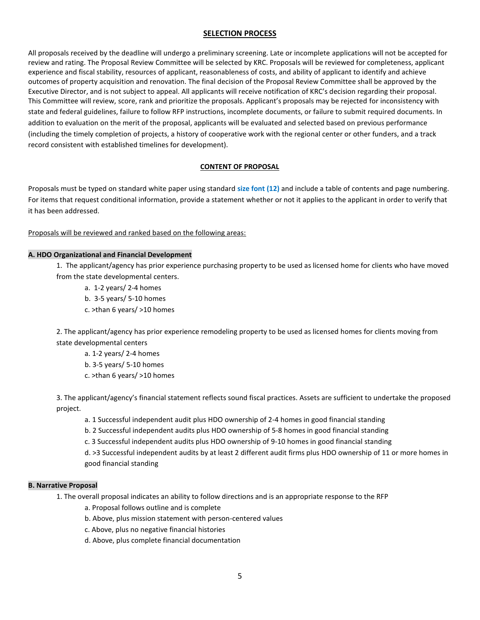# **SELECTION PROCESS**

All proposals received by the deadline will undergo a preliminary screening. Late or incomplete applications will not be accepted for review and rating. The Proposal Review Committee will be selected by KRC. Proposals will be reviewed for completeness, applicant experience and fiscal stability, resources of applicant, reasonableness of costs, and ability of applicant to identify and achieve outcomes of property acquisition and renovation. The final decision of the Proposal Review Committee shall be approved by the Executive Director, and is not subject to appeal. All applicants will receive notification of KRC's decision regarding their proposal. This Committee will review, score, rank and prioritize the proposals. Applicant's proposals may be rejected for inconsistency with state and federal guidelines, failure to follow RFP instructions, incomplete documents, or failure to submit required documents. In addition to evaluation on the merit of the proposal, applicants will be evaluated and selected based on previous performance (including the timely completion of projects, a history of cooperative work with the regional center or other funders, and a track record consistent with established timelines for development).

## **CONTENT OF PROPOSAL**

Proposals must be typed on standard white paper using standard **size font (12)** and include a table of contents and page numbering. For items that request conditional information, provide a statement whether or not it applies to the applicant in order to verify that it has been addressed.

## Proposals will be reviewed and ranked based on the following areas:

## **A. HDO Organizational and Financial Development**

1. The applicant/agency has prior experience purchasing property to be used as licensed home for clients who have moved from the state developmental centers.

- a. 1-2 years/ 2-4 homes
- b. 3-5 years/ 5-10 homes
- c. >than 6 years/ >10 homes

2. The applicant/agency has prior experience remodeling property to be used as licensed homes for clients moving from state developmental centers

- a. 1-2 years/ 2-4 homes b. 3-5 years/ 5-10 homes
- c. >than 6 years/ >10 homes

3. The applicant/agency's financial statement reflects sound fiscal practices. Assets are sufficient to undertake the proposed project.

- a. 1 Successful independent audit plus HDO ownership of 2-4 homes in good financial standing
- b. 2 Successful independent audits plus HDO ownership of 5-8 homes in good financial standing
- c. 3 Successful independent audits plus HDO ownership of 9-10 homes in good financial standing

d. >3 Successful independent audits by at least 2 different audit firms plus HDO ownership of 11 or more homes in good financial standing

#### **B. Narrative Proposal**

- 1. The overall proposal indicates an ability to follow directions and is an appropriate response to the RFP
	- a. Proposal follows outline and is complete
	- b. Above, plus mission statement with person-centered values
	- c. Above, plus no negative financial histories
	- d. Above, plus complete financial documentation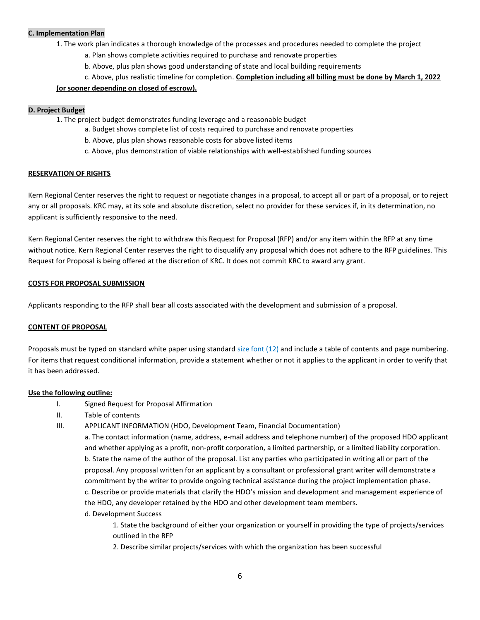#### **C. Implementation Plan**

- 1. The work plan indicates a thorough knowledge of the processes and procedures needed to complete the project
	- a. Plan shows complete activities required to purchase and renovate properties
	- b. Above, plus plan shows good understanding of state and local building requirements
	- c. Above, plus realistic timeline for completion. **Completion including all billing must be done by March 1, 2022**

## **(or sooner depending on closed of escrow).**

## **D. Project Budget**

- 1. The project budget demonstrates funding leverage and a reasonable budget
	- a. Budget shows complete list of costs required to purchase and renovate properties
	- b. Above, plus plan shows reasonable costs for above listed items
	- c. Above, plus demonstration of viable relationships with well-established funding sources

# **RESERVATION OF RIGHTS**

Kern Regional Center reserves the right to request or negotiate changes in a proposal, to accept all or part of a proposal, or to reject any or all proposals. KRC may, at its sole and absolute discretion, select no provider for these services if, in its determination, no applicant is sufficiently responsive to the need.

Kern Regional Center reserves the right to withdraw this Request for Proposal (RFP) and/or any item within the RFP at any time without notice. Kern Regional Center reserves the right to disqualify any proposal which does not adhere to the RFP guidelines. This Request for Proposal is being offered at the discretion of KRC. It does not commit KRC to award any grant.

# **COSTS FOR PROPOSAL SUBMISSION**

Applicants responding to the RFP shall bear all costs associated with the development and submission of a proposal.

## **CONTENT OF PROPOSAL**

Proposals must be typed on standard white paper using standard size font (12) and include a table of contents and page numbering. For items that request conditional information, provide a statement whether or not it applies to the applicant in order to verify that it has been addressed.

## **Use the following outline:**

- I. Signed Request for Proposal Affirmation
- II. Table of contents
- III. APPLICANT INFORMATION (HDO, Development Team, Financial Documentation)

a. The contact information (name, address, e-mail address and telephone number) of the proposed HDO applicant and whether applying as a profit, non-profit corporation, a limited partnership, or a limited liability corporation. b. State the name of the author of the proposal. List any parties who participated in writing all or part of the proposal. Any proposal written for an applicant by a consultant or professional grant writer will demonstrate a commitment by the writer to provide ongoing technical assistance during the project implementation phase. c. Describe or provide materials that clarify the HDO's mission and development and management experience of the HDO, any developer retained by the HDO and other development team members.

d. Development Success

1. State the background of either your organization or yourself in providing the type of projects/services outlined in the RFP

2. Describe similar projects/services with which the organization has been successful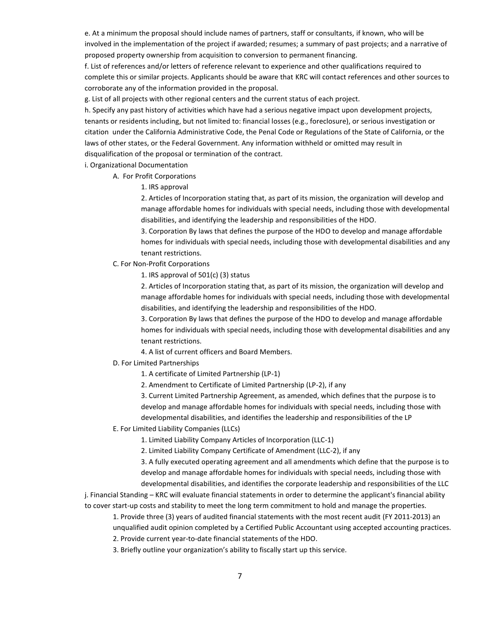e. At a minimum the proposal should include names of partners, staff or consultants, if known, who will be involved in the implementation of the project if awarded; resumes; a summary of past projects; and a narrative of proposed property ownership from acquisition to conversion to permanent financing.

f. List of references and/or letters of reference relevant to experience and other qualifications required to complete this or similar projects. Applicants should be aware that KRC will contact references and other sources to corroborate any of the information provided in the proposal.

g. List of all projects with other regional centers and the current status of each project.

h. Specify any past history of activities which have had a serious negative impact upon development projects, tenants or residents including, but not limited to: financial losses (e.g., foreclosure), or serious investigation or citation under the California Administrative Code, the Penal Code or Regulations of the State of California, or the laws of other states, or the Federal Government. Any information withheld or omitted may result in disqualification of the proposal or termination of the contract.

i. Organizational Documentation

A. For Profit Corporations

1. IRS approval

2. Articles of Incorporation stating that, as part of its mission, the organization will develop and manage affordable homes for individuals with special needs, including those with developmental disabilities, and identifying the leadership and responsibilities of the HDO.

3. Corporation By laws that defines the purpose of the HDO to develop and manage affordable homes for individuals with special needs, including those with developmental disabilities and any tenant restrictions.

C. For Non-Profit Corporations

1. IRS approval of 501(c) (3) status

2. Articles of Incorporation stating that, as part of its mission, the organization will develop and manage affordable homes for individuals with special needs, including those with developmental disabilities, and identifying the leadership and responsibilities of the HDO.

3. Corporation By laws that defines the purpose of the HDO to develop and manage affordable homes for individuals with special needs, including those with developmental disabilities and any tenant restrictions.

4. A list of current officers and Board Members.

D. For Limited Partnerships

1. A certificate of Limited Partnership (LP-1)

2. Amendment to Certificate of Limited Partnership (LP-2), if any

3. Current Limited Partnership Agreement, as amended, which defines that the purpose is to develop and manage affordable homes for individuals with special needs, including those with developmental disabilities, and identifies the leadership and responsibilities of the LP

E. For Limited Liability Companies (LLCs)

1. Limited Liability Company Articles of Incorporation (LLC-1)

2. Limited Liability Company Certificate of Amendment (LLC-2), if any

3. A fully executed operating agreement and all amendments which define that the purpose is to develop and manage affordable homes for individuals with special needs, including those with developmental disabilities, and identifies the corporate leadership and responsibilities of the LLC

j. Financial Standing – KRC will evaluate financial statements in order to determine the applicant's financial ability to cover start-up costs and stability to meet the long term commitment to hold and manage the properties.

1. Provide three (3) years of audited financial statements with the most recent audit (FY 2011-2013) an unqualified audit opinion completed by a Certified Public Accountant using accepted accounting practices. 2. Provide current year-to-date financial statements of the HDO.

3. Briefly outline your organization's ability to fiscally start up this service.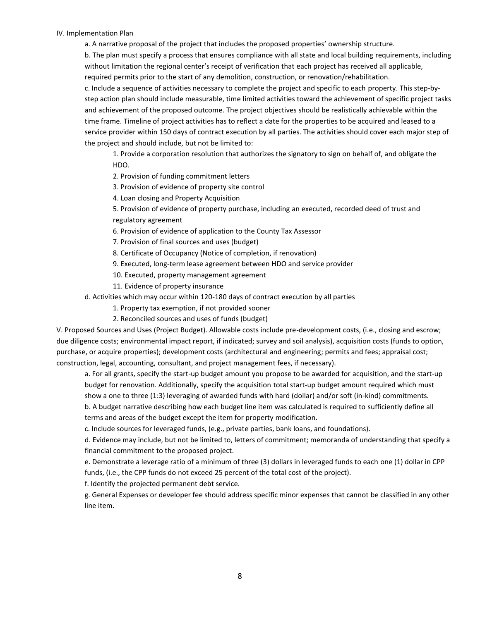#### IV. Implementation Plan

a. A narrative proposal of the project that includes the proposed properties' ownership structure.

b. The plan must specify a process that ensures compliance with all state and local building requirements, including without limitation the regional center's receipt of verification that each project has received all applicable, required permits prior to the start of any demolition, construction, or renovation/rehabilitation.

c. Include a sequence of activities necessary to complete the project and specific to each property. This step-bystep action plan should include measurable, time limited activities toward the achievement of specific project tasks and achievement of the proposed outcome. The project objectives should be realistically achievable within the time frame. Timeline of project activities has to reflect a date for the properties to be acquired and leased to a service provider within 150 days of contract execution by all parties. The activities should cover each major step of the project and should include, but not be limited to:

1. Provide a corporation resolution that authorizes the signatory to sign on behalf of, and obligate the HDO.

2. Provision of funding commitment letters

3. Provision of evidence of property site control

4. Loan closing and Property Acquisition

5. Provision of evidence of property purchase, including an executed, recorded deed of trust and regulatory agreement

6. Provision of evidence of application to the County Tax Assessor

7. Provision of final sources and uses (budget)

8. Certificate of Occupancy (Notice of completion, if renovation)

9. Executed, long-term lease agreement between HDO and service provider

10. Executed, property management agreement

11. Evidence of property insurance

d. Activities which may occur within 120-180 days of contract execution by all parties

1. Property tax exemption, if not provided sooner

2. Reconciled sources and uses of funds (budget)

V. Proposed Sources and Uses (Project Budget). Allowable costs include pre-development costs, (i.e., closing and escrow; due diligence costs; environmental impact report, if indicated; survey and soil analysis), acquisition costs (funds to option, purchase, or acquire properties); development costs (architectural and engineering; permits and fees; appraisal cost; construction, legal, accounting, consultant, and project management fees, if necessary).

a. For all grants, specify the start-up budget amount you propose to be awarded for acquisition, and the start-up budget for renovation. Additionally, specify the acquisition total start-up budget amount required which must show a one to three (1:3) leveraging of awarded funds with hard (dollar) and/or soft (in-kind) commitments.

b. A budget narrative describing how each budget line item was calculated is required to sufficiently define all terms and areas of the budget except the item for property modification.

c. Include sources for leveraged funds, (e.g., private parties, bank loans, and foundations).

d. Evidence may include, but not be limited to, letters of commitment; memoranda of understanding that specify a financial commitment to the proposed project.

e. Demonstrate a leverage ratio of a minimum of three (3) dollars in leveraged funds to each one (1) dollar in CPP funds, (i.e., the CPP funds do not exceed 25 percent of the total cost of the project).

f. Identify the projected permanent debt service.

g. General Expenses or developer fee should address specific minor expenses that cannot be classified in any other line item.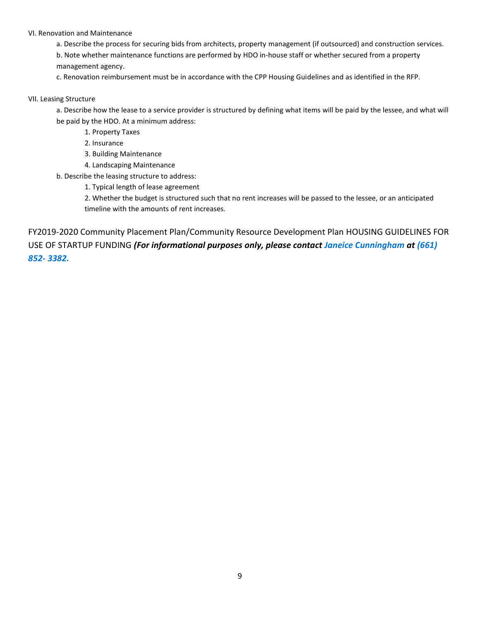#### VI. Renovation and Maintenance

a. Describe the process for securing bids from architects, property management (if outsourced) and construction services. b. Note whether maintenance functions are performed by HDO in-house staff or whether secured from a property management agency.

c. Renovation reimbursement must be in accordance with the CPP Housing Guidelines and as identified in the RFP.

#### VII. Leasing Structure

a. Describe how the lease to a service provider is structured by defining what items will be paid by the lessee, and what will be paid by the HDO. At a minimum address:

- 1. Property Taxes
- 2. Insurance
- 3. Building Maintenance
- 4. Landscaping Maintenance
- b. Describe the leasing structure to address:
	- 1. Typical length of lease agreement

2. Whether the budget is structured such that no rent increases will be passed to the lessee, or an anticipated timeline with the amounts of rent increases.

FY2019-2020 Community Placement Plan/Community Resource Development Plan HOUSING GUIDELINES FOR USE OF STARTUP FUNDING *(For informational purposes only, please contact Janeice Cunningham at (661) 852- 3382.*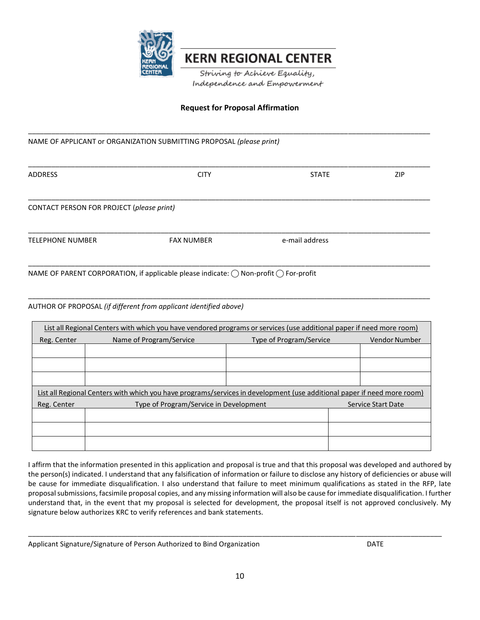

**KERN REGIONAL CENTER** 

Striving to Achieve Equality, Independence and Empowerment

# **Request for Proposal Affirmation**

\_\_\_\_\_\_\_\_\_\_\_\_\_\_\_\_\_\_\_\_\_\_\_\_\_\_\_\_\_\_\_\_\_\_\_\_\_\_\_\_\_\_\_\_\_\_\_\_\_\_\_\_\_\_\_\_\_\_\_\_\_\_\_\_\_\_\_\_\_\_\_\_\_\_\_\_\_\_\_\_\_\_\_\_\_\_\_\_\_\_\_\_\_\_\_\_\_\_\_\_\_\_\_

## NAME OF APPLICANT or ORGANIZATION SUBMITTING PROPOSAL *(please print)*

| <b>ADDRESS</b>                            | <b>CITY</b>       | <b>STATE</b>   | ZIP |  |  |
|-------------------------------------------|-------------------|----------------|-----|--|--|
| CONTACT PERSON FOR PROJECT (please print) |                   |                |     |  |  |
| <b>TELEPHONE NUMBER</b>                   | <b>FAX NUMBER</b> | e-mail address |     |  |  |
|                                           |                   |                |     |  |  |

\_\_\_\_\_\_\_\_\_\_\_\_\_\_\_\_\_\_\_\_\_\_\_\_\_\_\_\_\_\_\_\_\_\_\_\_\_\_\_\_\_\_\_\_\_\_\_\_\_\_\_\_\_\_\_\_\_\_\_\_\_\_\_\_\_\_\_\_\_\_\_\_\_\_\_\_\_\_\_\_\_\_\_\_\_\_\_\_\_\_\_\_\_\_\_\_\_\_\_\_\_\_\_

NAME OF PARENT CORPORATION, if applicable please indicate:  $\bigcirc$  Non-profit  $\bigcirc$  For-profit

# AUTHOR OF PROPOSAL *(if different from applicant identified above)*

| List all Regional Centers with which you have vendored programs or services (use additional paper if need more room)    |                                        |                                |                    |  |
|-------------------------------------------------------------------------------------------------------------------------|----------------------------------------|--------------------------------|--------------------|--|
| Reg. Center                                                                                                             | Name of Program/Service                | <b>Type of Program/Service</b> | Vendor Number      |  |
|                                                                                                                         |                                        |                                |                    |  |
|                                                                                                                         |                                        |                                |                    |  |
|                                                                                                                         |                                        |                                |                    |  |
| List all Regional Centers with which you have programs/services in development (use additional paper if need more room) |                                        |                                |                    |  |
| Reg. Center                                                                                                             | Type of Program/Service in Development |                                | Service Start Date |  |
|                                                                                                                         |                                        |                                |                    |  |
|                                                                                                                         |                                        |                                |                    |  |
|                                                                                                                         |                                        |                                |                    |  |

I affirm that the information presented in this application and proposal is true and that this proposal was developed and authored by the person(s) indicated. I understand that any falsification of information or failure to disclose any history of deficiencies or abuse will be cause for immediate disqualification. I also understand that failure to meet minimum qualifications as stated in the RFP, late proposal submissions, facsimile proposal copies, and any missing information will also be cause for immediate disqualification. I further understand that, in the event that my proposal is selected for development, the proposal itself is not approved conclusively. My signature below authorizes KRC to verify references and bank statements.

Applicant Signature/Signature of Person Authorized to Bind Organization DATE

\_\_\_\_\_\_\_\_\_\_\_\_\_\_\_\_\_\_\_\_\_\_\_\_\_\_\_\_\_\_\_\_\_\_\_\_\_\_\_\_\_\_\_\_\_\_\_\_\_\_\_\_\_\_\_\_\_\_\_\_\_\_\_\_\_\_\_\_\_\_\_\_\_\_\_\_\_\_\_\_\_\_\_\_\_\_\_\_\_\_\_\_\_\_\_\_\_\_\_\_\_\_\_\_\_\_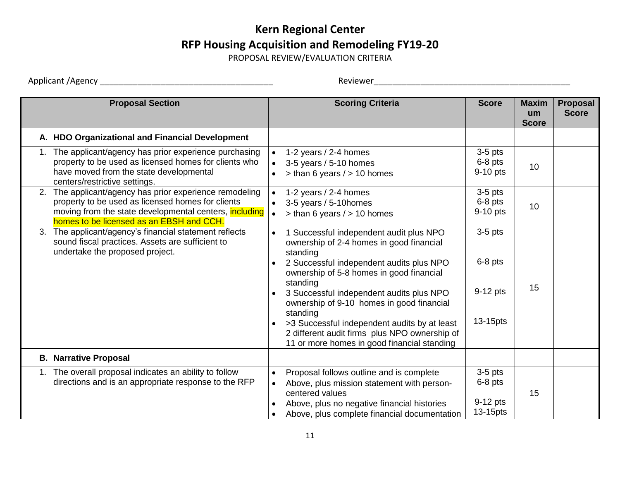# **Kern Regional Center RFP Housing Acquisition and Remodeling FY19-20**

PROPOSAL REVIEW/EVALUATION CRITERIA

| Applicant / Agency |  |
|--------------------|--|
|--------------------|--|

Applicant /Agency \_\_\_\_\_\_\_\_\_\_\_\_\_\_\_\_\_\_\_\_\_\_\_\_\_\_\_\_\_\_\_\_\_\_\_\_\_ Reviewer\_\_\_\_\_\_\_\_\_\_\_\_\_\_\_\_\_\_\_\_\_\_\_\_\_\_\_\_\_\_\_\_\_\_\_\_\_\_\_\_\_\_

| <b>Proposal Section</b>                                                                                                                                                                                            | <b>Scoring Criteria</b>                                                                                                                                                                                                                                                                                                                                                                                                                                  | <b>Score</b>                                   | <b>Maxim</b><br>um<br><b>Score</b> | Proposal<br><b>Score</b> |
|--------------------------------------------------------------------------------------------------------------------------------------------------------------------------------------------------------------------|----------------------------------------------------------------------------------------------------------------------------------------------------------------------------------------------------------------------------------------------------------------------------------------------------------------------------------------------------------------------------------------------------------------------------------------------------------|------------------------------------------------|------------------------------------|--------------------------|
| A. HDO Organizational and Financial Development                                                                                                                                                                    |                                                                                                                                                                                                                                                                                                                                                                                                                                                          |                                                |                                    |                          |
| The applicant/agency has prior experience purchasing<br>1.<br>property to be used as licensed homes for clients who<br>have moved from the state developmental<br>centers/restrictive settings.                    | 1-2 years / 2-4 homes<br>3-5 years / 5-10 homes<br>$>$ than 6 years $/$ > 10 homes<br>$\bullet$                                                                                                                                                                                                                                                                                                                                                          | $3-5$ pts<br>$6-8$ pts<br>9-10 pts             | 10                                 |                          |
| 2. The applicant/agency has prior experience remodeling<br>property to be used as licensed homes for clients<br>moving from the state developmental centers, including<br>homes to be licensed as an EBSH and CCH. | 1-2 years / 2-4 homes<br>3-5 years / 5-10 homes<br>$>$ than 6 years $/$ > 10 homes                                                                                                                                                                                                                                                                                                                                                                       | $3-5$ pts<br>$6-8$ pts<br>9-10 pts             | 10                                 |                          |
| The applicant/agency's financial statement reflects<br>3.<br>sound fiscal practices. Assets are sufficient to<br>undertake the proposed project.                                                                   | 1 Successful independent audit plus NPO<br>ownership of 2-4 homes in good financial<br>standing<br>2 Successful independent audits plus NPO<br>ownership of 5-8 homes in good financial<br>standing<br>3 Successful independent audits plus NPO<br>ownership of 9-10 homes in good financial<br>standing<br>>3 Successful independent audits by at least<br>2 different audit firms plus NPO ownership of<br>11 or more homes in good financial standing | $3-5$ pts<br>$6-8$ pts<br>9-12 pts<br>13-15pts | 15                                 |                          |
| <b>B. Narrative Proposal</b>                                                                                                                                                                                       |                                                                                                                                                                                                                                                                                                                                                                                                                                                          |                                                |                                    |                          |
| 1. The overall proposal indicates an ability to follow<br>directions and is an appropriate response to the RFP                                                                                                     | Proposal follows outline and is complete<br>$\bullet$<br>Above, plus mission statement with person-<br>$\bullet$<br>centered values<br>Above, plus no negative financial histories<br>Above, plus complete financial documentation                                                                                                                                                                                                                       | $3-5$ pts<br>$6-8$ pts<br>9-12 pts<br>13-15pts | 15                                 |                          |